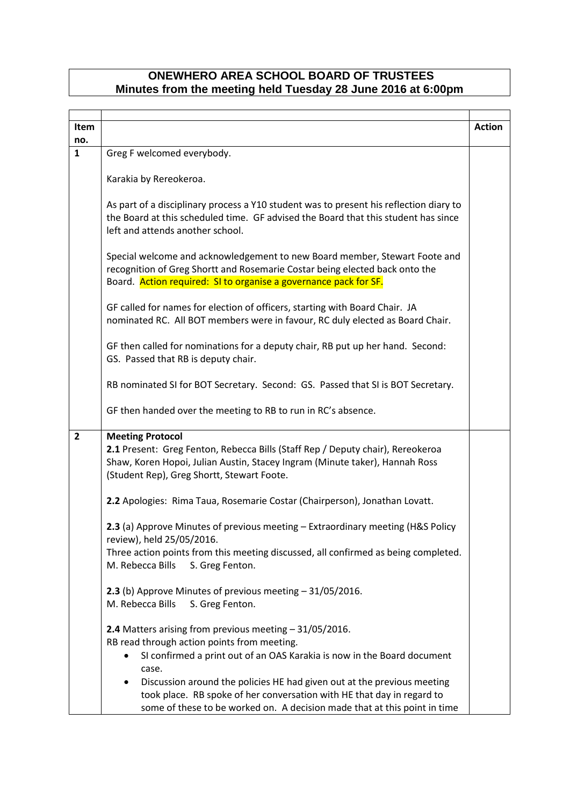## **ONEWHERO AREA SCHOOL BOARD OF TRUSTEES Minutes from the meeting held Tuesday 28 June 2016 at 6:00pm**

| Item                    |                                                                                                                                                                                                                                                                                                                                                                                                                                   | <b>Action</b> |
|-------------------------|-----------------------------------------------------------------------------------------------------------------------------------------------------------------------------------------------------------------------------------------------------------------------------------------------------------------------------------------------------------------------------------------------------------------------------------|---------------|
| no.                     |                                                                                                                                                                                                                                                                                                                                                                                                                                   |               |
| $\mathbf{1}$            | Greg F welcomed everybody.                                                                                                                                                                                                                                                                                                                                                                                                        |               |
|                         | Karakia by Rereokeroa.                                                                                                                                                                                                                                                                                                                                                                                                            |               |
|                         | As part of a disciplinary process a Y10 student was to present his reflection diary to<br>the Board at this scheduled time. GF advised the Board that this student has since<br>left and attends another school.                                                                                                                                                                                                                  |               |
|                         | Special welcome and acknowledgement to new Board member, Stewart Foote and<br>recognition of Greg Shortt and Rosemarie Costar being elected back onto the<br>Board. Action required: SI to organise a governance pack for SF.                                                                                                                                                                                                     |               |
|                         | GF called for names for election of officers, starting with Board Chair. JA<br>nominated RC. All BOT members were in favour, RC duly elected as Board Chair.                                                                                                                                                                                                                                                                      |               |
|                         | GF then called for nominations for a deputy chair, RB put up her hand. Second:<br>GS. Passed that RB is deputy chair.                                                                                                                                                                                                                                                                                                             |               |
|                         | RB nominated SI for BOT Secretary. Second: GS. Passed that SI is BOT Secretary.                                                                                                                                                                                                                                                                                                                                                   |               |
|                         | GF then handed over the meeting to RB to run in RC's absence.                                                                                                                                                                                                                                                                                                                                                                     |               |
| $\overline{\mathbf{2}}$ | <b>Meeting Protocol</b><br>2.1 Present: Greg Fenton, Rebecca Bills (Staff Rep / Deputy chair), Rereokeroa<br>Shaw, Koren Hopoi, Julian Austin, Stacey Ingram (Minute taker), Hannah Ross<br>(Student Rep), Greg Shortt, Stewart Foote.                                                                                                                                                                                            |               |
|                         | 2.2 Apologies: Rima Taua, Rosemarie Costar (Chairperson), Jonathan Lovatt.                                                                                                                                                                                                                                                                                                                                                        |               |
|                         | 2.3 (a) Approve Minutes of previous meeting - Extraordinary meeting (H&S Policy<br>review), held 25/05/2016.                                                                                                                                                                                                                                                                                                                      |               |
|                         | Three action points from this meeting discussed, all confirmed as being completed.<br>M. Rebecca Bills<br>S. Greg Fenton.                                                                                                                                                                                                                                                                                                         |               |
|                         | 2.3 (b) Approve Minutes of previous meeting - 31/05/2016.<br>M. Rebecca Bills<br>S. Greg Fenton.                                                                                                                                                                                                                                                                                                                                  |               |
|                         | 2.4 Matters arising from previous meeting - 31/05/2016.<br>RB read through action points from meeting.<br>SI confirmed a print out of an OAS Karakia is now in the Board document<br>case.<br>Discussion around the policies HE had given out at the previous meeting<br>٠<br>took place. RB spoke of her conversation with HE that day in regard to<br>some of these to be worked on. A decision made that at this point in time |               |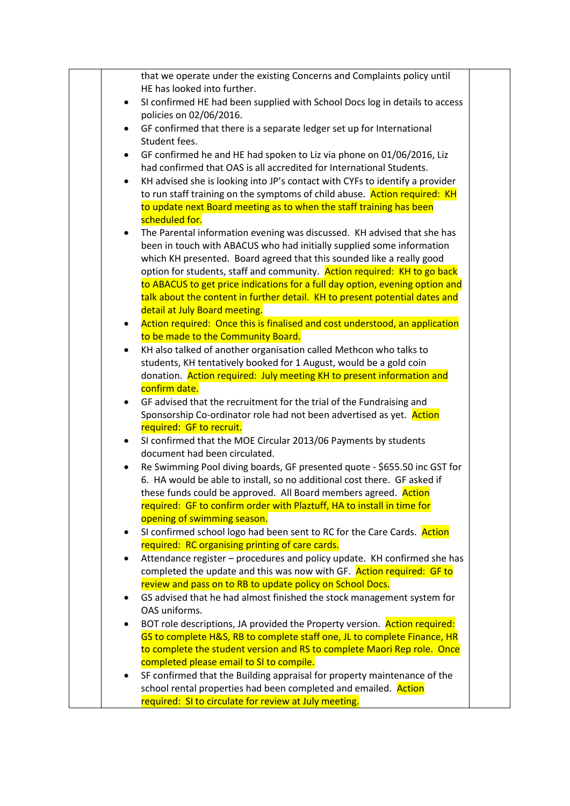|           | that we operate under the existing Concerns and Complaints policy until                                |  |
|-----------|--------------------------------------------------------------------------------------------------------|--|
|           | HE has looked into further.                                                                            |  |
| $\bullet$ | SI confirmed HE had been supplied with School Docs log in details to access<br>policies on 02/06/2016. |  |
| $\bullet$ | GF confirmed that there is a separate ledger set up for International                                  |  |
|           | Student fees.                                                                                          |  |
| $\bullet$ | GF confirmed he and HE had spoken to Liz via phone on 01/06/2016, Liz                                  |  |
|           | had confirmed that OAS is all accredited for International Students.                                   |  |
| $\bullet$ | KH advised she is looking into JP's contact with CYFs to identify a provider                           |  |
|           | to run staff training on the symptoms of child abuse. Action required: KH                              |  |
|           | to update next Board meeting as to when the staff training has been                                    |  |
|           | scheduled for.                                                                                         |  |
| $\bullet$ | The Parental information evening was discussed. KH advised that she has                                |  |
|           | been in touch with ABACUS who had initially supplied some information                                  |  |
|           | which KH presented. Board agreed that this sounded like a really good                                  |  |
|           | option for students, staff and community. Action required: KH to go back                               |  |
|           | to ABACUS to get price indications for a full day option, evening option and                           |  |
|           | talk about the content in further detail. KH to present potential dates and                            |  |
|           | detail at July Board meeting.                                                                          |  |
| $\bullet$ | Action required: Once this is finalised and cost understood, an application                            |  |
|           | to be made to the Community Board.                                                                     |  |
| $\bullet$ | KH also talked of another organisation called Methcon who talks to                                     |  |
|           | students, KH tentatively booked for 1 August, would be a gold coin                                     |  |
|           | donation. Action required: July meeting KH to present information and                                  |  |
|           | confirm date.                                                                                          |  |
| $\bullet$ | GF advised that the recruitment for the trial of the Fundraising and                                   |  |
|           | Sponsorship Co-ordinator role had not been advertised as yet. Action                                   |  |
|           | required: GF to recruit.                                                                               |  |
| $\bullet$ | SI confirmed that the MOE Circular 2013/06 Payments by students                                        |  |
|           | document had been circulated.                                                                          |  |
|           | Re Swimming Pool diving boards, GF presented quote - \$655.50 inc GST for                              |  |
|           | 6. HA would be able to install, so no additional cost there. GF asked if                               |  |
|           | these funds could be approved. All Board members agreed. Action                                        |  |
|           | required: GF to confirm order with Plaztuff, HA to install in time for                                 |  |
|           | opening of swimming season.                                                                            |  |
| ٠         | SI confirmed school logo had been sent to RC for the Care Cards. Action                                |  |
|           | required: RC organising printing of care cards.                                                        |  |
| ٠         | Attendance register - procedures and policy update. KH confirmed she has                               |  |
|           | completed the update and this was now with GF. Action required: GF to                                  |  |
|           | review and pass on to RB to update policy on School Docs.                                              |  |
| $\bullet$ | GS advised that he had almost finished the stock management system for                                 |  |
|           | OAS uniforms.                                                                                          |  |
| ٠         | BOT role descriptions, JA provided the Property version. Action required:                              |  |
|           | GS to complete H&S, RB to complete staff one, JL to complete Finance, HR                               |  |
|           | to complete the student version and RS to complete Maori Rep role. Once                                |  |
|           | completed please email to SI to compile.                                                               |  |
| $\bullet$ | SF confirmed that the Building appraisal for property maintenance of the                               |  |
|           | school rental properties had been completed and emailed. Action                                        |  |
|           | required: SI to circulate for review at July meeting.                                                  |  |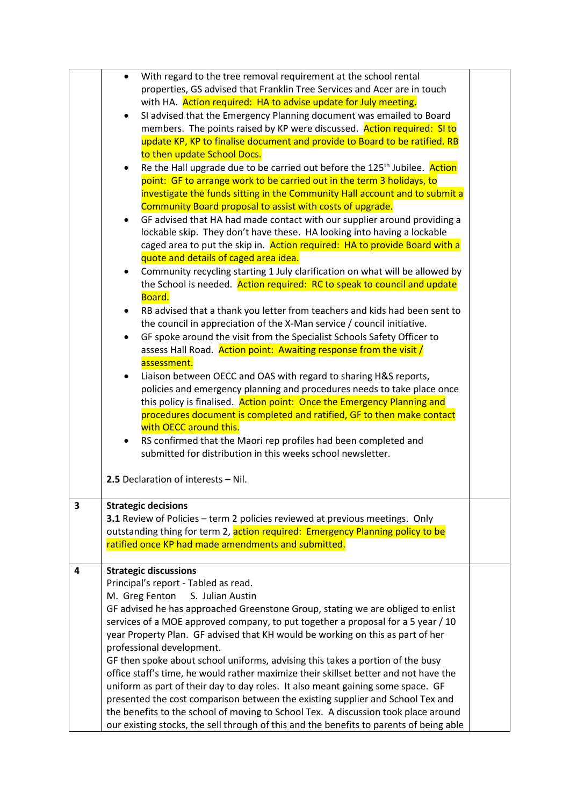|   |           | With regard to the tree removal requirement at the school rental                        |  |
|---|-----------|-----------------------------------------------------------------------------------------|--|
|   |           | properties, GS advised that Franklin Tree Services and Acer are in touch                |  |
|   |           | with HA. Action required: HA to advise update for July meeting.                         |  |
|   | $\bullet$ | SI advised that the Emergency Planning document was emailed to Board                    |  |
|   |           | members. The points raised by KP were discussed. Action required: SI to                 |  |
|   |           | update KP, KP to finalise document and provide to Board to be ratified. RB              |  |
|   |           | to then update School Docs.                                                             |  |
|   | $\bullet$ | Re the Hall upgrade due to be carried out before the 125 <sup>th</sup> Jubilee. Action  |  |
|   |           | point: GF to arrange work to be carried out in the term 3 holidays, to                  |  |
|   |           | investigate the funds sitting in the Community Hall account and to submit a             |  |
|   |           | Community Board proposal to assist with costs of upgrade.                               |  |
|   | $\bullet$ | GF advised that HA had made contact with our supplier around providing a                |  |
|   |           | lockable skip. They don't have these. HA looking into having a lockable                 |  |
|   |           | caged area to put the skip in. Action required: HA to provide Board with a              |  |
|   |           | quote and details of caged area idea.                                                   |  |
|   | $\bullet$ | Community recycling starting 1 July clarification on what will be allowed by            |  |
|   |           | the School is needed. Action required: RC to speak to council and update                |  |
|   |           | Board.                                                                                  |  |
|   |           | RB advised that a thank you letter from teachers and kids had been sent to              |  |
|   |           | the council in appreciation of the X-Man service / council initiative.                  |  |
|   |           | GF spoke around the visit from the Specialist Schools Safety Officer to                 |  |
|   |           | assess Hall Road. Action point: Awaiting response from the visit /                      |  |
|   |           | assessment.                                                                             |  |
|   |           | Liaison between OECC and OAS with regard to sharing H&S reports,                        |  |
|   |           | policies and emergency planning and procedures needs to take place once                 |  |
|   |           | this policy is finalised. Action point: Once the Emergency Planning and                 |  |
|   |           | procedures document is completed and ratified, GF to then make contact                  |  |
|   |           | with OECC around this.                                                                  |  |
|   |           | RS confirmed that the Maori rep profiles had been completed and                         |  |
|   |           | submitted for distribution in this weeks school newsletter.                             |  |
|   |           |                                                                                         |  |
|   |           | 2.5 Declaration of interests - Nil.                                                     |  |
| 3 |           | <b>Strategic decisions</b>                                                              |  |
|   |           | 3.1 Review of Policies - term 2 policies reviewed at previous meetings. Only            |  |
|   |           | outstanding thing for term 2, action required: Emergency Planning policy to be          |  |
|   |           | ratified once KP had made amendments and submitted.                                     |  |
|   |           |                                                                                         |  |
| 4 |           | <b>Strategic discussions</b>                                                            |  |
|   |           | Principal's report - Tabled as read.                                                    |  |
|   |           | M. Greg Fenton<br>S. Julian Austin                                                      |  |
|   |           | GF advised he has approached Greenstone Group, stating we are obliged to enlist         |  |
|   |           | services of a MOE approved company, to put together a proposal for a 5 year / 10        |  |
|   |           | year Property Plan. GF advised that KH would be working on this as part of her          |  |
|   |           | professional development.                                                               |  |
|   |           | GF then spoke about school uniforms, advising this takes a portion of the busy          |  |
|   |           | office staff's time, he would rather maximize their skillset better and not have the    |  |
|   |           | uniform as part of their day to day roles. It also meant gaining some space. GF         |  |
|   |           | presented the cost comparison between the existing supplier and School Tex and          |  |
|   |           | the benefits to the school of moving to School Tex. A discussion took place around      |  |
|   |           | our existing stocks, the sell through of this and the benefits to parents of being able |  |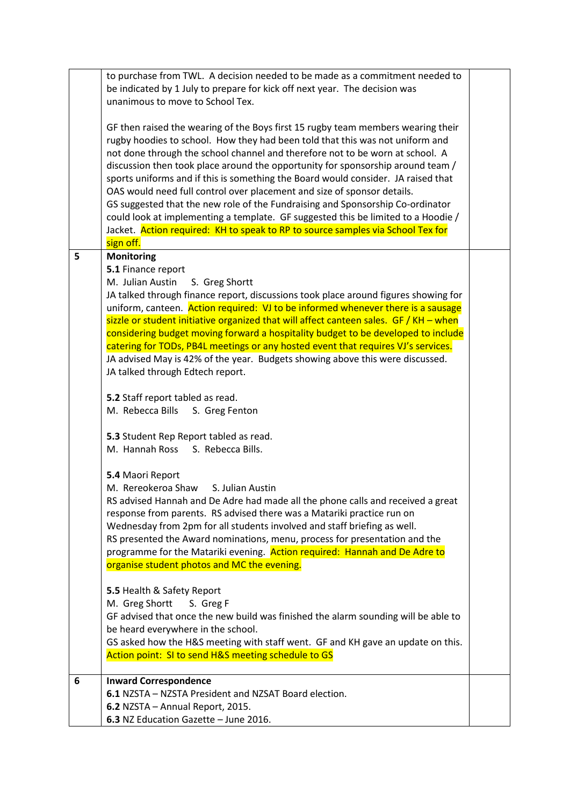|   | to purchase from TWL. A decision needed to be made as a commitment needed to<br>be indicated by 1 July to prepare for kick off next year. The decision was<br>unanimous to move to School Tex.                                                                                                                                                                                                                                                                                                                                                                                                                                                                                                                                                                               |  |
|---|------------------------------------------------------------------------------------------------------------------------------------------------------------------------------------------------------------------------------------------------------------------------------------------------------------------------------------------------------------------------------------------------------------------------------------------------------------------------------------------------------------------------------------------------------------------------------------------------------------------------------------------------------------------------------------------------------------------------------------------------------------------------------|--|
|   | GF then raised the wearing of the Boys first 15 rugby team members wearing their<br>rugby hoodies to school. How they had been told that this was not uniform and<br>not done through the school channel and therefore not to be worn at school. A<br>discussion then took place around the opportunity for sponsorship around team /<br>sports uniforms and if this is something the Board would consider. JA raised that<br>OAS would need full control over placement and size of sponsor details.<br>GS suggested that the new role of the Fundraising and Sponsorship Co-ordinator<br>could look at implementing a template. GF suggested this be limited to a Hoodie /<br>Jacket. Action required: KH to speak to RP to source samples via School Tex for<br>sign off. |  |
| 5 | <b>Monitoring</b>                                                                                                                                                                                                                                                                                                                                                                                                                                                                                                                                                                                                                                                                                                                                                            |  |
|   | 5.1 Finance report                                                                                                                                                                                                                                                                                                                                                                                                                                                                                                                                                                                                                                                                                                                                                           |  |
|   | M. Julian Austin<br>S. Greg Shortt                                                                                                                                                                                                                                                                                                                                                                                                                                                                                                                                                                                                                                                                                                                                           |  |
|   | JA talked through finance report, discussions took place around figures showing for                                                                                                                                                                                                                                                                                                                                                                                                                                                                                                                                                                                                                                                                                          |  |
|   | uniform, canteen. Action required: VJ to be informed whenever there is a sausage                                                                                                                                                                                                                                                                                                                                                                                                                                                                                                                                                                                                                                                                                             |  |
|   | sizzle or student initiative organized that will affect canteen sales. $GF / KH - when$<br>considering budget moving forward a hospitality budget to be developed to include                                                                                                                                                                                                                                                                                                                                                                                                                                                                                                                                                                                                 |  |
|   | catering for TODs, PB4L meetings or any hosted event that requires VJ's services.                                                                                                                                                                                                                                                                                                                                                                                                                                                                                                                                                                                                                                                                                            |  |
|   | JA advised May is 42% of the year. Budgets showing above this were discussed.                                                                                                                                                                                                                                                                                                                                                                                                                                                                                                                                                                                                                                                                                                |  |
|   | JA talked through Edtech report.                                                                                                                                                                                                                                                                                                                                                                                                                                                                                                                                                                                                                                                                                                                                             |  |
|   |                                                                                                                                                                                                                                                                                                                                                                                                                                                                                                                                                                                                                                                                                                                                                                              |  |
|   | 5.2 Staff report tabled as read.                                                                                                                                                                                                                                                                                                                                                                                                                                                                                                                                                                                                                                                                                                                                             |  |
|   | M. Rebecca Bills S. Greg Fenton                                                                                                                                                                                                                                                                                                                                                                                                                                                                                                                                                                                                                                                                                                                                              |  |
|   | 5.3 Student Rep Report tabled as read.                                                                                                                                                                                                                                                                                                                                                                                                                                                                                                                                                                                                                                                                                                                                       |  |
|   | M. Hannah Ross S. Rebecca Bills.                                                                                                                                                                                                                                                                                                                                                                                                                                                                                                                                                                                                                                                                                                                                             |  |
|   |                                                                                                                                                                                                                                                                                                                                                                                                                                                                                                                                                                                                                                                                                                                                                                              |  |
|   | 5.4 Maori Report                                                                                                                                                                                                                                                                                                                                                                                                                                                                                                                                                                                                                                                                                                                                                             |  |
|   | M. Rereokeroa Shaw<br>S. Julian Austin                                                                                                                                                                                                                                                                                                                                                                                                                                                                                                                                                                                                                                                                                                                                       |  |
|   | RS advised Hannah and De Adre had made all the phone calls and received a great                                                                                                                                                                                                                                                                                                                                                                                                                                                                                                                                                                                                                                                                                              |  |
|   | response from parents. RS advised there was a Matariki practice run on<br>Wednesday from 2pm for all students involved and staff briefing as well.                                                                                                                                                                                                                                                                                                                                                                                                                                                                                                                                                                                                                           |  |
|   | RS presented the Award nominations, menu, process for presentation and the                                                                                                                                                                                                                                                                                                                                                                                                                                                                                                                                                                                                                                                                                                   |  |
|   | programme for the Matariki evening. Action required: Hannah and De Adre to                                                                                                                                                                                                                                                                                                                                                                                                                                                                                                                                                                                                                                                                                                   |  |
|   | organise student photos and MC the evening.                                                                                                                                                                                                                                                                                                                                                                                                                                                                                                                                                                                                                                                                                                                                  |  |
|   |                                                                                                                                                                                                                                                                                                                                                                                                                                                                                                                                                                                                                                                                                                                                                                              |  |
|   | 5.5 Health & Safety Report                                                                                                                                                                                                                                                                                                                                                                                                                                                                                                                                                                                                                                                                                                                                                   |  |
|   | M. Greg Shortt<br>S. Greg F<br>GF advised that once the new build was finished the alarm sounding will be able to                                                                                                                                                                                                                                                                                                                                                                                                                                                                                                                                                                                                                                                            |  |
|   | be heard everywhere in the school.                                                                                                                                                                                                                                                                                                                                                                                                                                                                                                                                                                                                                                                                                                                                           |  |
|   | GS asked how the H&S meeting with staff went. GF and KH gave an update on this.                                                                                                                                                                                                                                                                                                                                                                                                                                                                                                                                                                                                                                                                                              |  |
|   | Action point: SI to send H&S meeting schedule to GS                                                                                                                                                                                                                                                                                                                                                                                                                                                                                                                                                                                                                                                                                                                          |  |
|   |                                                                                                                                                                                                                                                                                                                                                                                                                                                                                                                                                                                                                                                                                                                                                                              |  |
| 6 | <b>Inward Correspondence</b>                                                                                                                                                                                                                                                                                                                                                                                                                                                                                                                                                                                                                                                                                                                                                 |  |
|   | 6.1 NZSTA - NZSTA President and NZSAT Board election.<br>6.2 NZSTA - Annual Report, 2015.                                                                                                                                                                                                                                                                                                                                                                                                                                                                                                                                                                                                                                                                                    |  |
|   | 6.3 NZ Education Gazette - June 2016.                                                                                                                                                                                                                                                                                                                                                                                                                                                                                                                                                                                                                                                                                                                                        |  |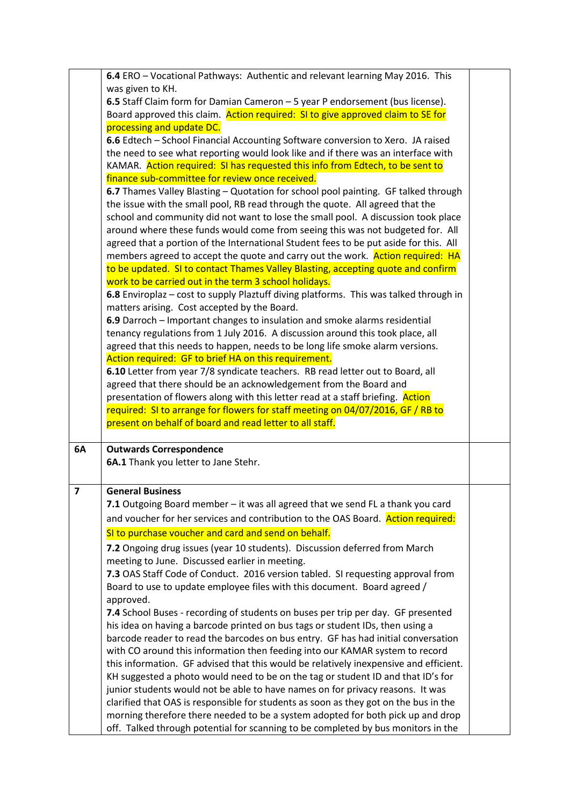|                         | 6.4 ERO - Vocational Pathways: Authentic and relevant learning May 2016. This                                                                                           |  |
|-------------------------|-------------------------------------------------------------------------------------------------------------------------------------------------------------------------|--|
|                         | was given to KH.                                                                                                                                                        |  |
|                         | 6.5 Staff Claim form for Damian Cameron - 5 year P endorsement (bus license).                                                                                           |  |
|                         | Board approved this claim. Action required: SI to give approved claim to SE for                                                                                         |  |
|                         | processing and update DC.                                                                                                                                               |  |
|                         | 6.6 Edtech - School Financial Accounting Software conversion to Xero. JA raised                                                                                         |  |
|                         | the need to see what reporting would look like and if there was an interface with                                                                                       |  |
|                         | KAMAR. Action required: SI has requested this info from Edtech, to be sent to                                                                                           |  |
|                         | finance sub-committee for review once received.                                                                                                                         |  |
|                         | 6.7 Thames Valley Blasting - Quotation for school pool painting. GF talked through                                                                                      |  |
|                         | the issue with the small pool, RB read through the quote. All agreed that the                                                                                           |  |
|                         | school and community did not want to lose the small pool. A discussion took place                                                                                       |  |
|                         | around where these funds would come from seeing this was not budgeted for. All                                                                                          |  |
|                         | agreed that a portion of the International Student fees to be put aside for this. All                                                                                   |  |
|                         | members agreed to accept the quote and carry out the work. Action required: HA                                                                                          |  |
|                         | to be updated. SI to contact Thames Valley Blasting, accepting quote and confirm                                                                                        |  |
|                         | work to be carried out in the term 3 school holidays.                                                                                                                   |  |
|                         | 6.8 Enviroplaz - cost to supply Plaztuff diving platforms. This was talked through in                                                                                   |  |
|                         | matters arising. Cost accepted by the Board.                                                                                                                            |  |
|                         | 6.9 Darroch - Important changes to insulation and smoke alarms residential                                                                                              |  |
|                         | tenancy regulations from 1 July 2016. A discussion around this took place, all                                                                                          |  |
|                         | agreed that this needs to happen, needs to be long life smoke alarm versions.                                                                                           |  |
|                         | Action required: GF to brief HA on this requirement.                                                                                                                    |  |
|                         | 6.10 Letter from year 7/8 syndicate teachers. RB read letter out to Board, all                                                                                          |  |
|                         | agreed that there should be an acknowledgement from the Board and                                                                                                       |  |
|                         | presentation of flowers along with this letter read at a staff briefing. Action                                                                                         |  |
|                         |                                                                                                                                                                         |  |
|                         | required: SI to arrange for flowers for staff meeting on 04/07/2016, GF / RB to                                                                                         |  |
|                         | present on behalf of board and read letter to all staff.                                                                                                                |  |
|                         |                                                                                                                                                                         |  |
| 6A                      | <b>Outwards Correspondence</b>                                                                                                                                          |  |
|                         | 6A.1 Thank you letter to Jane Stehr.                                                                                                                                    |  |
| $\overline{\mathbf{z}}$ | <b>General Business</b>                                                                                                                                                 |  |
|                         | 7.1 Outgoing Board member - it was all agreed that we send FL a thank you card                                                                                          |  |
|                         |                                                                                                                                                                         |  |
|                         | and voucher for her services and contribution to the OAS Board. Action required:                                                                                        |  |
|                         | SI to purchase voucher and card and send on behalf.                                                                                                                     |  |
|                         | 7.2 Ongoing drug issues (year 10 students). Discussion deferred from March                                                                                              |  |
|                         | meeting to June. Discussed earlier in meeting.                                                                                                                          |  |
|                         | 7.3 OAS Staff Code of Conduct. 2016 version tabled. SI requesting approval from                                                                                         |  |
|                         | Board to use to update employee files with this document. Board agreed /                                                                                                |  |
|                         | approved.                                                                                                                                                               |  |
|                         | 7.4 School Buses - recording of students on buses per trip per day. GF presented                                                                                        |  |
|                         | his idea on having a barcode printed on bus tags or student IDs, then using a                                                                                           |  |
|                         | barcode reader to read the barcodes on bus entry. GF has had initial conversation                                                                                       |  |
|                         | with CO around this information then feeding into our KAMAR system to record                                                                                            |  |
|                         | this information. GF advised that this would be relatively inexpensive and efficient.                                                                                   |  |
|                         | KH suggested a photo would need to be on the tag or student ID and that ID's for                                                                                        |  |
|                         | junior students would not be able to have names on for privacy reasons. It was                                                                                          |  |
|                         | clarified that OAS is responsible for students as soon as they got on the bus in the<br>morning therefore there needed to be a system adopted for both pick up and drop |  |